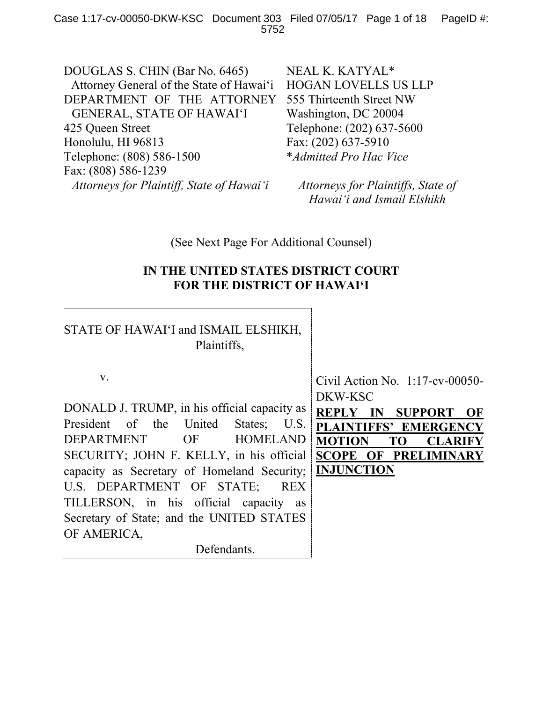DOUGLAS S. CHIN (Bar No. 6465) Attorney General of the State of Hawai'i DEPARTMENT OF THE ATTORNEY GENERAL, STATE OF HAWAI'I 425 Queen Street Honolulu, HI 96813 Telephone: (808) 586-1500 Fax: (808) 586-1239 *Attorneys for Plaintiff, State of Hawai'i*

NEAL K. KATYAL\* HOGAN LOVELLS US LLP 555 Thirteenth Street NW Washington, DC 20004 Telephone: (202) 637-5600 Fax: (202) 637-5910 \**Admitted Pro Hac Vice*

*Attorneys for Plaintiffs, State of Hawai'i and Ismail Elshikh*

# (See Next Page For Additional Counsel)

## **IN THE UNITED STATES DISTRICT COURT FOR THE DISTRICT OF HAWAI'I**

# STATE OF HAWAI'I and ISMAIL ELSHIKH, Plaintiffs,

v.

DONALD J. TRUMP, in his official capacity as President of the United States; U.S. DEPARTMENT OF HOMELAND SECURITY; JOHN F. KELLY, in his official capacity as Secretary of Homeland Security; U.S. DEPARTMENT OF STATE; REX TILLERSON, in his official capacity as Secretary of State; and the UNITED STATES OF AMERICA,

Defendants.

Civil Action No. 1:17-cv-00050- DKW-KSC

**REPLY IN SUPPORT OF PLAINTIFFS' EMERGENCY MOTION TO CLARIFY SCOPE OF PRELIMINARY INJUNCTION**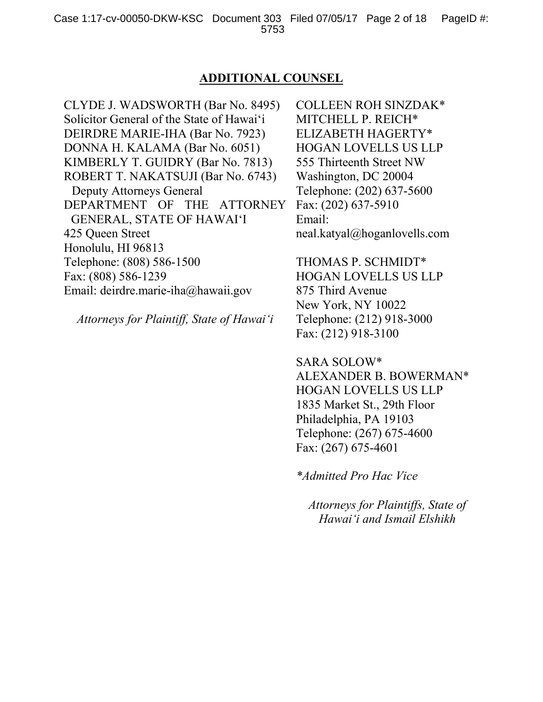### **ADDITIONAL COUNSEL**

CLYDE J. WADSWORTH (Bar No. 8495) Solicitor General of the State of Hawai'i DEIRDRE MARIE-IHA (Bar No. 7923) DONNA H. KALAMA (Bar No. 6051) KIMBERLY T. GUIDRY (Bar No. 7813) ROBERT T. NAKATSUJI (Bar No. 6743) Deputy Attorneys General DEPARTMENT OF THE ATTORNEY GENERAL, STATE OF HAWAI'I 425 Queen Street Honolulu, HI 96813 Telephone: (808) 586-1500 Fax: (808) 586-1239 Email: deirdre.marie-iha@hawaii.gov

*Attorneys for Plaintiff, State of Hawai'i*

COLLEEN ROH SINZDAK\* MITCHELL P. REICH\* ELIZABETH HAGERTY\* HOGAN LOVELLS US LLP 555 Thirteenth Street NW Washington, DC 20004 Telephone: (202) 637-5600 Fax: (202) 637-5910 Email: neal.katyal@hoganlovells.com

THOMAS P. SCHMIDT\* HOGAN LOVELLS US LLP 875 Third Avenue New York, NY 10022 Telephone: (212) 918-3000 Fax: (212) 918-3100

SARA SOLOW\* ALEXANDER B. BOWERMAN\* HOGAN LOVELLS US LLP 1835 Market St., 29th Floor Philadelphia, PA 19103 Telephone: (267) 675-4600 Fax: (267) 675-4601

*\*Admitted Pro Hac Vice*

*Attorneys for Plaintiffs, State of Hawai'i and Ismail Elshikh*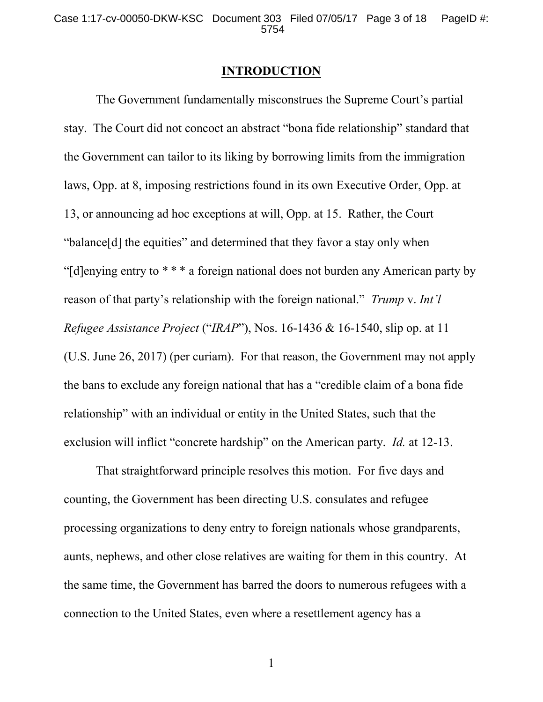#### **INTRODUCTION**

The Government fundamentally misconstrues the Supreme Court's partial stay. The Court did not concoct an abstract "bona fide relationship" standard that the Government can tailor to its liking by borrowing limits from the immigration laws, Opp. at 8, imposing restrictions found in its own Executive Order, Opp. at 13, or announcing ad hoc exceptions at will, Opp. at 15. Rather, the Court "balance[d] the equities" and determined that they favor a stay only when "[d]enying entry to \* \* \* a foreign national does not burden any American party by reason of that party's relationship with the foreign national." *Trump* v. *Int'l Refugee Assistance Project* ("*IRAP*"), Nos. 16-1436 & 16-1540, slip op. at 11 (U.S. June 26, 2017) (per curiam). For that reason, the Government may not apply the bans to exclude any foreign national that has a "credible claim of a bona fide relationship" with an individual or entity in the United States, such that the exclusion will inflict "concrete hardship" on the American party. *Id.* at 12-13.

That straightforward principle resolves this motion. For five days and counting, the Government has been directing U.S. consulates and refugee processing organizations to deny entry to foreign nationals whose grandparents, aunts, nephews, and other close relatives are waiting for them in this country. At the same time, the Government has barred the doors to numerous refugees with a connection to the United States, even where a resettlement agency has a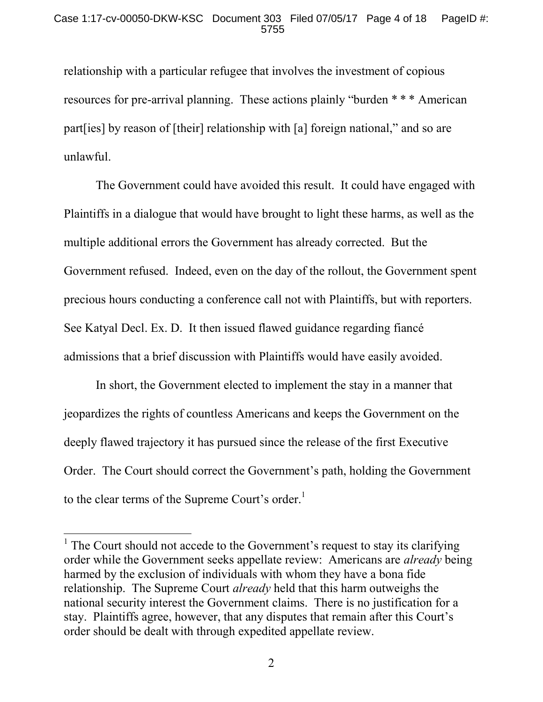relationship with a particular refugee that involves the investment of copious resources for pre-arrival planning. These actions plainly "burden \* \* \* American part[ies] by reason of [their] relationship with [a] foreign national," and so are unlawful.

The Government could have avoided this result. It could have engaged with Plaintiffs in a dialogue that would have brought to light these harms, as well as the multiple additional errors the Government has already corrected. But the Government refused. Indeed, even on the day of the rollout, the Government spent precious hours conducting a conference call not with Plaintiffs, but with reporters. See Katyal Decl. Ex. D. It then issued flawed guidance regarding fiancé admissions that a brief discussion with Plaintiffs would have easily avoided.

In short, the Government elected to implement the stay in a manner that jeopardizes the rights of countless Americans and keeps the Government on the deeply flawed trajectory it has pursued since the release of the first Executive Order. The Court should correct the Government's path, holding the Government to the clear terms of the Supreme Court's order.<sup>1</sup>

<sup>&</sup>lt;sup>1</sup> The Court should not accede to the Government's request to stay its clarifying order while the Government seeks appellate review: Americans are *already* being harmed by the exclusion of individuals with whom they have a bona fide relationship. The Supreme Court *already* held that this harm outweighs the national security interest the Government claims. There is no justification for a stay. Plaintiffs agree, however, that any disputes that remain after this Court's order should be dealt with through expedited appellate review.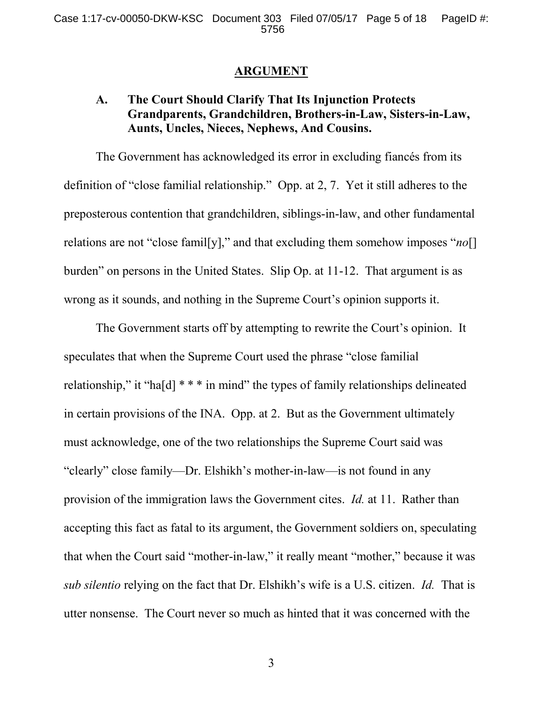### **ARGUMENT**

## **A. The Court Should Clarify That Its Injunction Protects Grandparents, Grandchildren, Brothers-in-Law, Sisters-in-Law, Aunts, Uncles, Nieces, Nephews, And Cousins.**

The Government has acknowledged its error in excluding fiancés from its definition of "close familial relationship." Opp. at 2, 7. Yet it still adheres to the preposterous contention that grandchildren, siblings-in-law, and other fundamental relations are not "close famil[y]," and that excluding them somehow imposes "*no*[] burden" on persons in the United States. Slip Op. at 11-12. That argument is as wrong as it sounds, and nothing in the Supreme Court's opinion supports it.

The Government starts off by attempting to rewrite the Court's opinion. It speculates that when the Supreme Court used the phrase "close familial relationship," it "ha[d] \* \* \* in mind" the types of family relationships delineated in certain provisions of the INA. Opp. at 2. But as the Government ultimately must acknowledge, one of the two relationships the Supreme Court said was "clearly" close family—Dr. Elshikh's mother-in-law—is not found in any provision of the immigration laws the Government cites. *Id.* at 11. Rather than accepting this fact as fatal to its argument, the Government soldiers on, speculating that when the Court said "mother-in-law," it really meant "mother," because it was *sub silentio* relying on the fact that Dr. Elshikh's wife is a U.S. citizen. *Id.* That is utter nonsense. The Court never so much as hinted that it was concerned with the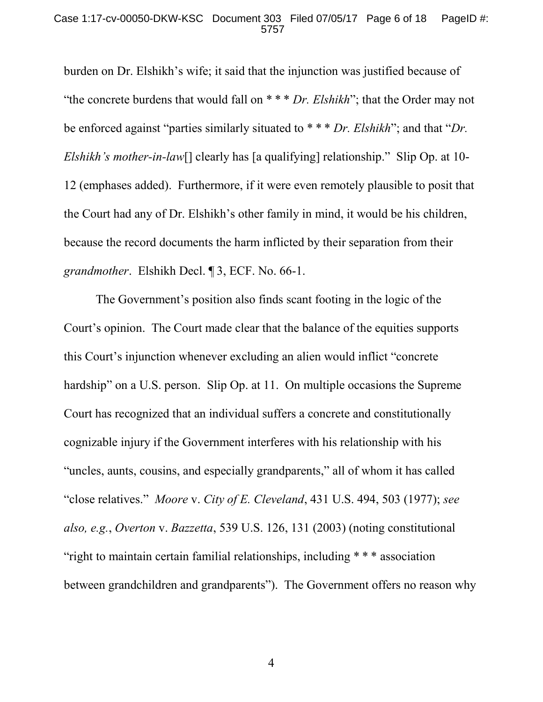burden on Dr. Elshikh's wife; it said that the injunction was justified because of "the concrete burdens that would fall on \* \* \* *Dr. Elshikh*"; that the Order may not be enforced against "parties similarly situated to \* \* \* *Dr. Elshikh*"; and that "*Dr. Elshikh's mother-in-law*[] clearly has [a qualifying] relationship." Slip Op. at 10- 12 (emphases added). Furthermore, if it were even remotely plausible to posit that the Court had any of Dr. Elshikh's other family in mind, it would be his children, because the record documents the harm inflicted by their separation from their *grandmother*. Elshikh Decl. ¶ 3, ECF. No. 66-1.

The Government's position also finds scant footing in the logic of the Court's opinion. The Court made clear that the balance of the equities supports this Court's injunction whenever excluding an alien would inflict "concrete hardship" on a U.S. person. Slip Op. at 11. On multiple occasions the Supreme Court has recognized that an individual suffers a concrete and constitutionally cognizable injury if the Government interferes with his relationship with his "uncles, aunts, cousins, and especially grandparents," all of whom it has called "close relatives." *Moore* v. *City of E. Cleveland*, 431 U.S. 494, 503 (1977); *see also, e.g.*, *Overton* v. *Bazzetta*, 539 U.S. 126, 131 (2003) (noting constitutional "right to maintain certain familial relationships, including \* \* \* association between grandchildren and grandparents"). The Government offers no reason why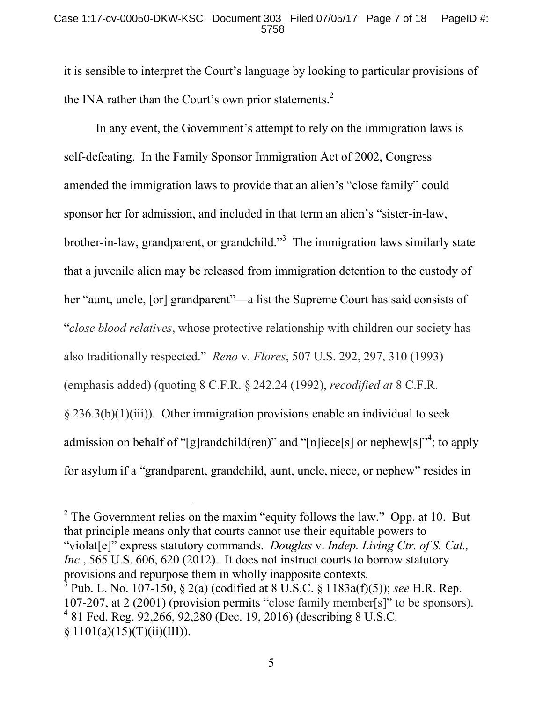it is sensible to interpret the Court's language by looking to particular provisions of the INA rather than the Court's own prior statements. $2^2$ 

In any event, the Government's attempt to rely on the immigration laws is self-defeating. In the Family Sponsor Immigration Act of 2002, Congress amended the immigration laws to provide that an alien's "close family" could sponsor her for admission, and included in that term an alien's "sister-in-law, brother-in-law, grandparent, or grandchild."<sup>3</sup> The immigration laws similarly state that a juvenile alien may be released from immigration detention to the custody of her "aunt, uncle, [or] grandparent"—a list the Supreme Court has said consists of "*close blood relatives*, whose protective relationship with children our society has also traditionally respected." *Reno* v. *Flores*, 507 U.S. 292, 297, 310 (1993) (emphasis added) (quoting 8 C.F.R. § 242.24 (1992), *recodified at* 8 C.F.R.  $\S 236.3(b)(1)(iii)$ . Other immigration provisions enable an individual to seek admission on behalf of "[g]randchild(ren)" and "[n]iece[s] or nephew[s]"<sup>4</sup>; to apply for asylum if a "grandparent, grandchild, aunt, uncle, niece, or nephew" resides in

<sup>2</sup> The Government relies on the maxim "equity follows the law." Opp. at 10. But that principle means only that courts cannot use their equitable powers to "violat[e]" express statutory commands. *Douglas* v. *Indep. Living Ctr. of S. Cal., Inc.*, 565 U.S. 606, 620 (2012). It does not instruct courts to borrow statutory provisions and repurpose them in wholly inapposite contexts. 3 Pub. L. No. 107-150, § 2(a) (codified at 8 U.S.C. § 1183a(f)(5)); *see* H.R. Rep. 107-207, at 2 (2001) (provision permits "close family member[s]" to be sponsors). 4 81 Fed. Reg. 92,266, 92,280 (Dec. 19, 2016) (describing 8 U.S.C.  $§ 1101(a)(15)(T)(ii)(III)).$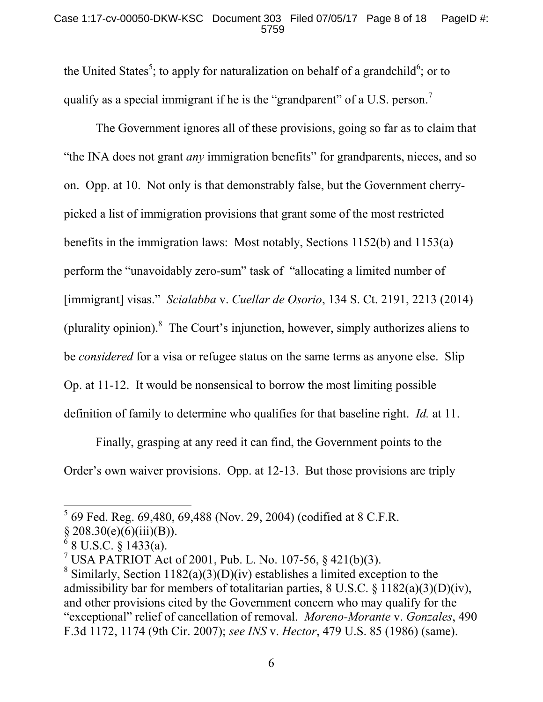the United States<sup>5</sup>; to apply for naturalization on behalf of a grandchild<sup>6</sup>; or to qualify as a special immigrant if he is the "grandparent" of a U.S. person.<sup>7</sup>

The Government ignores all of these provisions, going so far as to claim that "the INA does not grant *any* immigration benefits" for grandparents, nieces, and so on. Opp. at 10. Not only is that demonstrably false, but the Government cherrypicked a list of immigration provisions that grant some of the most restricted benefits in the immigration laws: Most notably, Sections 1152(b) and 1153(a) perform the "unavoidably zero-sum" task of "allocating a limited number of [immigrant] visas." *Scialabba* v. *Cuellar de Osorio*, 134 S. Ct. 2191, 2213 (2014) (plurality opinion). $8$  The Court's injunction, however, simply authorizes aliens to be *considered* for a visa or refugee status on the same terms as anyone else. Slip Op. at 11-12. It would be nonsensical to borrow the most limiting possible definition of family to determine who qualifies for that baseline right. *Id.* at 11.

Finally, grasping at any reed it can find, the Government points to the Order's own waiver provisions. Opp. at 12-13. But those provisions are triply

 $5$  69 Fed. Reg. 69,480, 69,488 (Nov. 29, 2004) (codified at 8 C.F.R.

 $§ 208.30(e)(6)(iii)(B)).$ 

<sup>6</sup> 8 U.S.C. § 1433(a).

<sup>&</sup>lt;sup>7</sup> USA PATRIOT Act of 2001, Pub. L. No. 107-56, § 421(b)(3).

<sup>&</sup>lt;sup>8</sup> Similarly, Section 1182(a)(3)(D)(iv) establishes a limited exception to the admissibility bar for members of totalitarian parties, 8 U.S.C. § 1182(a)(3)(D)(iv), and other provisions cited by the Government concern who may qualify for the "exceptional" relief of cancellation of removal. *Moreno-Morante* v. *Gonzales*, 490 F.3d 1172, 1174 (9th Cir. 2007); *see INS* v. *Hector*, 479 U.S. 85 (1986) (same).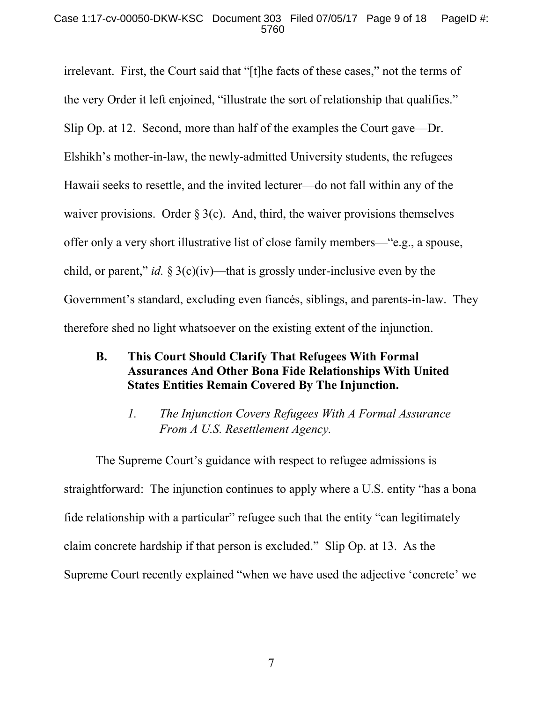#### Case 1:17-cv-00050-DKW-KSC Document 303 Filed 07/05/17 Page 9 of 18 PageID #: 5760

irrelevant. First, the Court said that "[t]he facts of these cases," not the terms of the very Order it left enjoined, "illustrate the sort of relationship that qualifies." Slip Op. at 12. Second, more than half of the examples the Court gave—Dr. Elshikh's mother-in-law, the newly-admitted University students, the refugees Hawaii seeks to resettle, and the invited lecturer—do not fall within any of the waiver provisions. Order  $\S 3(c)$ . And, third, the waiver provisions themselves offer only a very short illustrative list of close family members—"e.g., a spouse, child, or parent," *id.* § 3(c)(iv)—that is grossly under-inclusive even by the Government's standard, excluding even fiancés, siblings, and parents-in-law. They therefore shed no light whatsoever on the existing extent of the injunction.

- **B. This Court Should Clarify That Refugees With Formal Assurances And Other Bona Fide Relationships With United States Entities Remain Covered By The Injunction.**
	- *1. The Injunction Covers Refugees With A Formal Assurance From A U.S. Resettlement Agency.*

The Supreme Court's guidance with respect to refugee admissions is straightforward: The injunction continues to apply where a U.S. entity "has a bona fide relationship with a particular" refugee such that the entity "can legitimately claim concrete hardship if that person is excluded." Slip Op. at 13. As the Supreme Court recently explained "when we have used the adjective 'concrete' we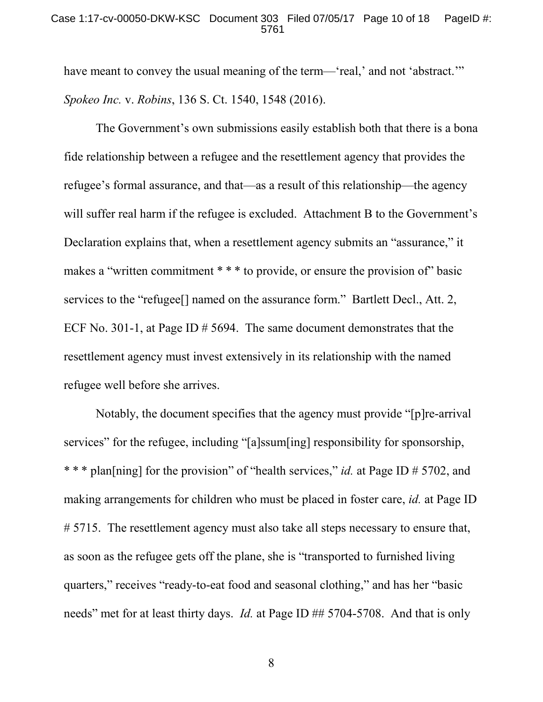#### Case 1:17-cv-00050-DKW-KSC Document 303 Filed 07/05/17 Page 10 of 18 PageID #: 5761

have meant to convey the usual meaning of the term—'real,' and not 'abstract.'" *Spokeo Inc.* v. *Robins*, 136 S. Ct. 1540, 1548 (2016).

The Government's own submissions easily establish both that there is a bona fide relationship between a refugee and the resettlement agency that provides the refugee's formal assurance, and that—as a result of this relationship—the agency will suffer real harm if the refugee is excluded. Attachment B to the Government's Declaration explains that, when a resettlement agency submits an "assurance," it makes a "written commitment \* \* \* to provide, or ensure the provision of" basic services to the "refugee<sup>[]</sup> named on the assurance form." Bartlett Decl., Att. 2, ECF No. 301-1, at Page ID  $\#$  5694. The same document demonstrates that the resettlement agency must invest extensively in its relationship with the named refugee well before she arrives.

Notably, the document specifies that the agency must provide "[p]re-arrival services" for the refugee, including "[a]ssum[ing] responsibility for sponsorship, \* \* \* plan[ning] for the provision" of "health services," *id.* at Page ID # 5702, and making arrangements for children who must be placed in foster care, *id.* at Page ID # 5715. The resettlement agency must also take all steps necessary to ensure that, as soon as the refugee gets off the plane, she is "transported to furnished living quarters," receives "ready-to-eat food and seasonal clothing," and has her "basic needs" met for at least thirty days. *Id.* at Page ID ## 5704-5708. And that is only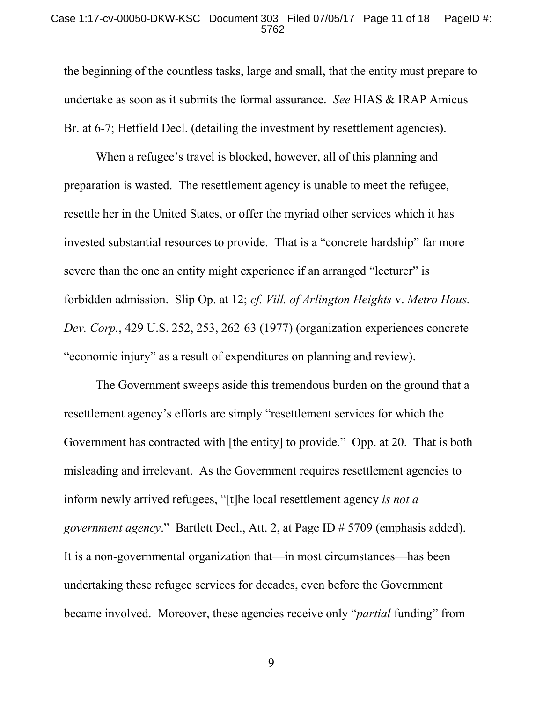#### Case 1:17-cv-00050-DKW-KSC Document 303 Filed 07/05/17 Page 11 of 18 PageID #: 5762

the beginning of the countless tasks, large and small, that the entity must prepare to undertake as soon as it submits the formal assurance. *See* HIAS & IRAP Amicus Br. at 6-7; Hetfield Decl. (detailing the investment by resettlement agencies).

When a refugee's travel is blocked, however, all of this planning and preparation is wasted. The resettlement agency is unable to meet the refugee, resettle her in the United States, or offer the myriad other services which it has invested substantial resources to provide. That is a "concrete hardship" far more severe than the one an entity might experience if an arranged "lecturer" is forbidden admission. Slip Op. at 12; *cf. Vill. of Arlington Heights* v. *Metro Hous. Dev. Corp.*, 429 U.S. 252, 253, 262-63 (1977) (organization experiences concrete "economic injury" as a result of expenditures on planning and review).

The Government sweeps aside this tremendous burden on the ground that a resettlement agency's efforts are simply "resettlement services for which the Government has contracted with [the entity] to provide." Opp. at 20. That is both misleading and irrelevant. As the Government requires resettlement agencies to inform newly arrived refugees, "[t]he local resettlement agency *is not a government agency*." Bartlett Decl., Att. 2, at Page ID # 5709 (emphasis added). It is a non-governmental organization that—in most circumstances—has been undertaking these refugee services for decades, even before the Government became involved. Moreover, these agencies receive only "*partial* funding" from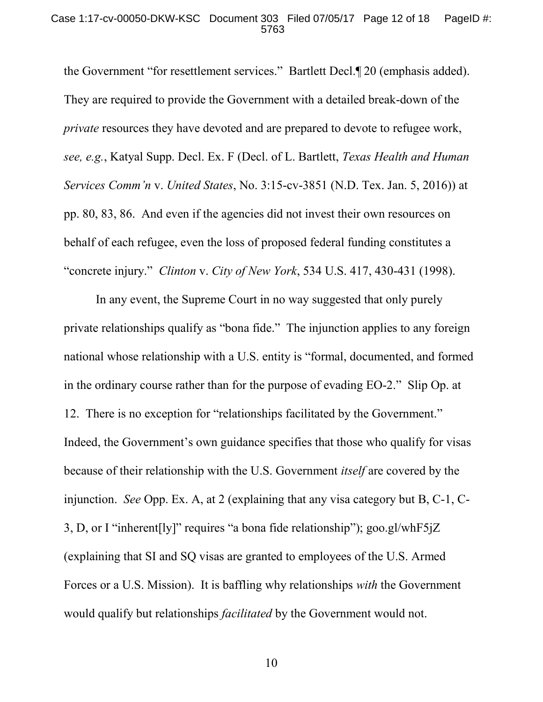#### Case 1:17-cv-00050-DKW-KSC Document 303 Filed 07/05/17 Page 12 of 18 PageID #: 5763

the Government "for resettlement services." Bartlett Decl.¶ 20 (emphasis added). They are required to provide the Government with a detailed break-down of the *private* resources they have devoted and are prepared to devote to refugee work, *see, e.g.*, Katyal Supp. Decl. Ex. F (Decl. of L. Bartlett, *Texas Health and Human Services Comm'n* v. *United States*, No. 3:15-cv-3851 (N.D. Tex. Jan. 5, 2016)) at pp. 80, 83, 86. And even if the agencies did not invest their own resources on behalf of each refugee, even the loss of proposed federal funding constitutes a "concrete injury." *Clinton* v. *City of New York*, 534 U.S. 417, 430-431 (1998).

In any event, the Supreme Court in no way suggested that only purely private relationships qualify as "bona fide." The injunction applies to any foreign national whose relationship with a U.S. entity is "formal, documented, and formed in the ordinary course rather than for the purpose of evading EO-2." Slip Op. at 12. There is no exception for "relationships facilitated by the Government." Indeed, the Government's own guidance specifies that those who qualify for visas because of their relationship with the U.S. Government *itself* are covered by the injunction. *See* Opp. Ex. A, at 2 (explaining that any visa category but B, C-1, C-3, D, or I "inherent[ly]" requires "a bona fide relationship"); goo.gl/whF5jZ (explaining that SI and SQ visas are granted to employees of the U.S. Armed Forces or a U.S. Mission). It is baffling why relationships *with* the Government would qualify but relationships *facilitated* by the Government would not.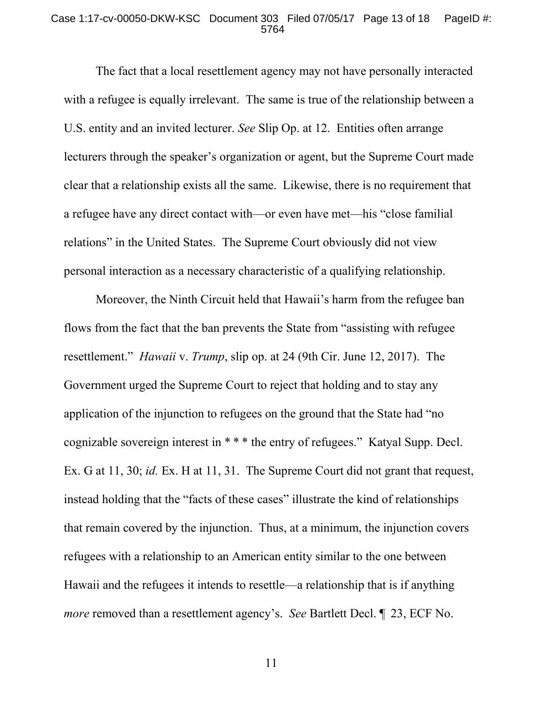#### Case 1:17-cv-00050-DKW-KSC Document 303 Filed 07/05/17 Page 13 of 18 PageID #: 5764

The fact that a local resettlement agency may not have personally interacted with a refugee is equally irrelevant. The same is true of the relationship between a U.S. entity and an invited lecturer. *See* Slip Op. at 12. Entities often arrange lecturers through the speaker's organization or agent, but the Supreme Court made clear that a relationship exists all the same. Likewise, there is no requirement that a refugee have any direct contact with—or even have met—his "close familial relations" in the United States. The Supreme Court obviously did not view personal interaction as a necessary characteristic of a qualifying relationship.

Moreover, the Ninth Circuit held that Hawaii's harm from the refugee ban flows from the fact that the ban prevents the State from "assisting with refugee resettlement." *Hawaii* v. *Trump*, slip op. at 24 (9th Cir. June 12, 2017). The Government urged the Supreme Court to reject that holding and to stay any application of the injunction to refugees on the ground that the State had "no cognizable sovereign interest in \* \* \* the entry of refugees." Katyal Supp. Decl. Ex. G at 11, 30; *id.* Ex. H at 11, 31. The Supreme Court did not grant that request, instead holding that the "facts of these cases" illustrate the kind of relationships that remain covered by the injunction. Thus, at a minimum, the injunction covers refugees with a relationship to an American entity similar to the one between Hawaii and the refugees it intends to resettle—a relationship that is if anything *more* removed than a resettlement agency's. *See* Bartlett Decl. 1 23, ECF No.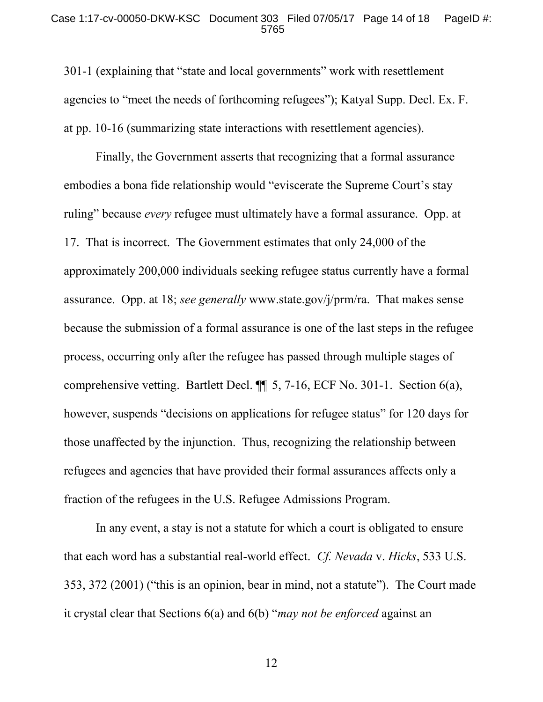#### Case 1:17-cv-00050-DKW-KSC Document 303 Filed 07/05/17 Page 14 of 18 PageID #: 5765

301-1 (explaining that "state and local governments" work with resettlement agencies to "meet the needs of forthcoming refugees"); Katyal Supp. Decl. Ex. F. at pp. 10-16 (summarizing state interactions with resettlement agencies).

Finally, the Government asserts that recognizing that a formal assurance embodies a bona fide relationship would "eviscerate the Supreme Court's stay ruling" because *every* refugee must ultimately have a formal assurance. Opp. at 17. That is incorrect. The Government estimates that only 24,000 of the approximately 200,000 individuals seeking refugee status currently have a formal assurance. Opp. at 18; *see generally* www.state.gov/j/prm/ra. That makes sense because the submission of a formal assurance is one of the last steps in the refugee process, occurring only after the refugee has passed through multiple stages of comprehensive vetting. Bartlett Decl. ¶¶ 5, 7-16, ECF No. 301-1. Section 6(a), however, suspends "decisions on applications for refugee status" for 120 days for those unaffected by the injunction. Thus, recognizing the relationship between refugees and agencies that have provided their formal assurances affects only a fraction of the refugees in the U.S. Refugee Admissions Program.

In any event, a stay is not a statute for which a court is obligated to ensure that each word has a substantial real-world effect. *Cf. Nevada* v. *Hicks*, 533 U.S. 353, 372 (2001) ("this is an opinion, bear in mind, not a statute"). The Court made it crystal clear that Sections 6(a) and 6(b) "*may not be enforced* against an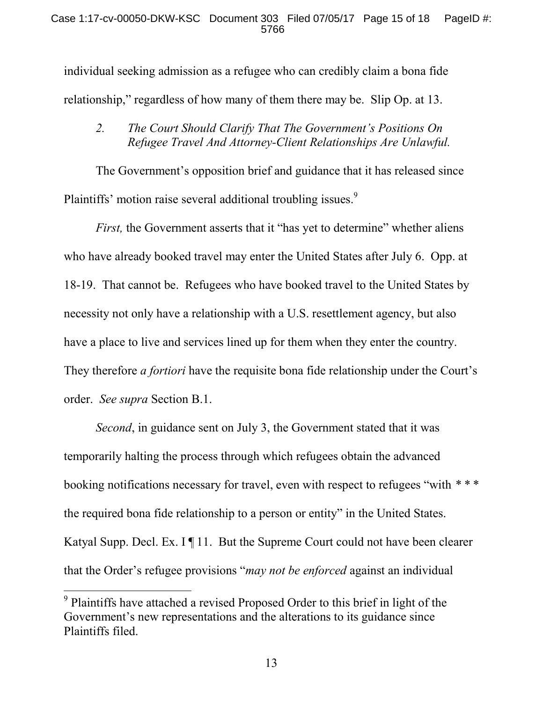individual seeking admission as a refugee who can credibly claim a bona fide relationship," regardless of how many of them there may be. Slip Op. at 13.

## *2. The Court Should Clarify That The Government's Positions On Refugee Travel And Attorney-Client Relationships Are Unlawful.*

The Government's opposition brief and guidance that it has released since Plaintiffs' motion raise several additional troubling issues.<sup>9</sup>

*First*, the Government asserts that it "has yet to determine" whether aliens who have already booked travel may enter the United States after July 6. Opp. at 18-19. That cannot be. Refugees who have booked travel to the United States by necessity not only have a relationship with a U.S. resettlement agency, but also have a place to live and services lined up for them when they enter the country. They therefore *a fortiori* have the requisite bona fide relationship under the Court's order. *See supra* Section B.1.

*Second*, in guidance sent on July 3, the Government stated that it was temporarily halting the process through which refugees obtain the advanced booking notifications necessary for travel, even with respect to refugees "with *\* \* \** the required bona fide relationship to a person or entity" in the United States. Katyal Supp. Decl. Ex. I ¶ 11. But the Supreme Court could not have been clearer that the Order's refugee provisions "*may not be enforced* against an individual

<sup>&</sup>lt;sup>9</sup> Plaintiffs have attached a revised Proposed Order to this brief in light of the Government's new representations and the alterations to its guidance since Plaintiffs filed.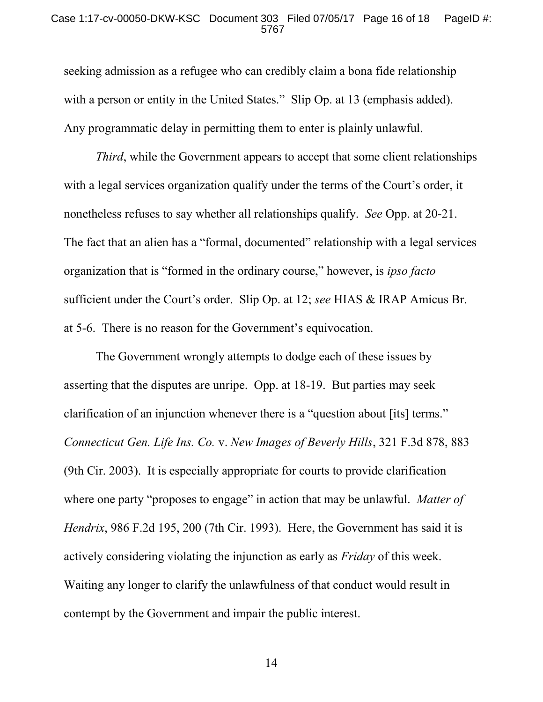#### Case 1:17-cv-00050-DKW-KSC Document 303 Filed 07/05/17 Page 16 of 18 PageID #: 5767

seeking admission as a refugee who can credibly claim a bona fide relationship with a person or entity in the United States." Slip Op. at 13 (emphasis added). Any programmatic delay in permitting them to enter is plainly unlawful.

*Third*, while the Government appears to accept that some client relationships with a legal services organization qualify under the terms of the Court's order, it nonetheless refuses to say whether all relationships qualify. *See* Opp. at 20-21. The fact that an alien has a "formal, documented" relationship with a legal services organization that is "formed in the ordinary course," however, is *ipso facto* sufficient under the Court's order. Slip Op. at 12; *see* HIAS & IRAP Amicus Br. at 5-6. There is no reason for the Government's equivocation.

The Government wrongly attempts to dodge each of these issues by asserting that the disputes are unripe. Opp. at 18-19. But parties may seek clarification of an injunction whenever there is a "question about [its] terms." *Connecticut Gen. Life Ins. Co.* v. *New Images of Beverly Hills*, 321 F.3d 878, 883 (9th Cir. 2003). It is especially appropriate for courts to provide clarification where one party "proposes to engage" in action that may be unlawful. *Matter of Hendrix*, 986 F.2d 195, 200 (7th Cir. 1993). Here, the Government has said it is actively considering violating the injunction as early as *Friday* of this week. Waiting any longer to clarify the unlawfulness of that conduct would result in contempt by the Government and impair the public interest.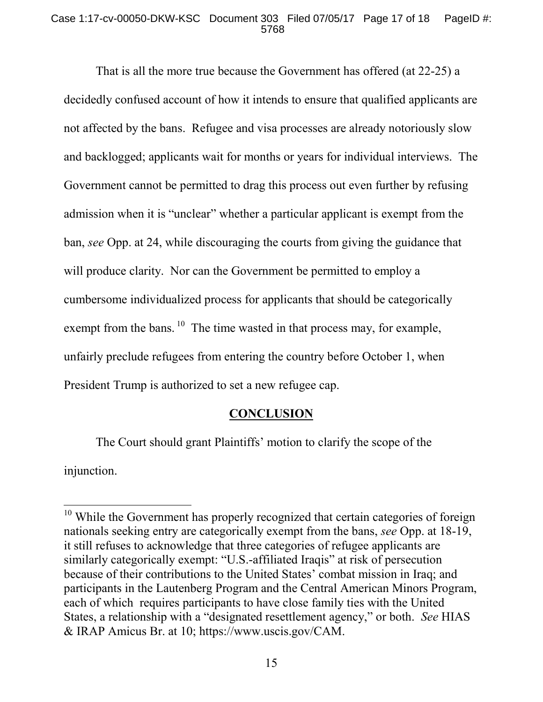#### Case 1:17-cv-00050-DKW-KSC Document 303 Filed 07/05/17 Page 17 of 18 PageID #: 5768

That is all the more true because the Government has offered (at 22-25) a decidedly confused account of how it intends to ensure that qualified applicants are not affected by the bans. Refugee and visa processes are already notoriously slow and backlogged; applicants wait for months or years for individual interviews. The Government cannot be permitted to drag this process out even further by refusing admission when it is "unclear" whether a particular applicant is exempt from the ban, *see* Opp. at 24, while discouraging the courts from giving the guidance that will produce clarity. Nor can the Government be permitted to employ a cumbersome individualized process for applicants that should be categorically exempt from the bans.  $10$  The time wasted in that process may, for example, unfairly preclude refugees from entering the country before October 1, when President Trump is authorized to set a new refugee cap.

### **CONCLUSION**

The Court should grant Plaintiffs' motion to clarify the scope of the injunction.

<sup>&</sup>lt;sup>10</sup> While the Government has properly recognized that certain categories of foreign nationals seeking entry are categorically exempt from the bans, *see* Opp. at 18-19, it still refuses to acknowledge that three categories of refugee applicants are similarly categorically exempt: "U.S.-affiliated Iraqis" at risk of persecution because of their contributions to the United States' combat mission in Iraq; and participants in the Lautenberg Program and the Central American Minors Program, each of which requires participants to have close family ties with the United States, a relationship with a "designated resettlement agency," or both. *See* HIAS & IRAP Amicus Br. at 10; https://www.uscis.gov/CAM.